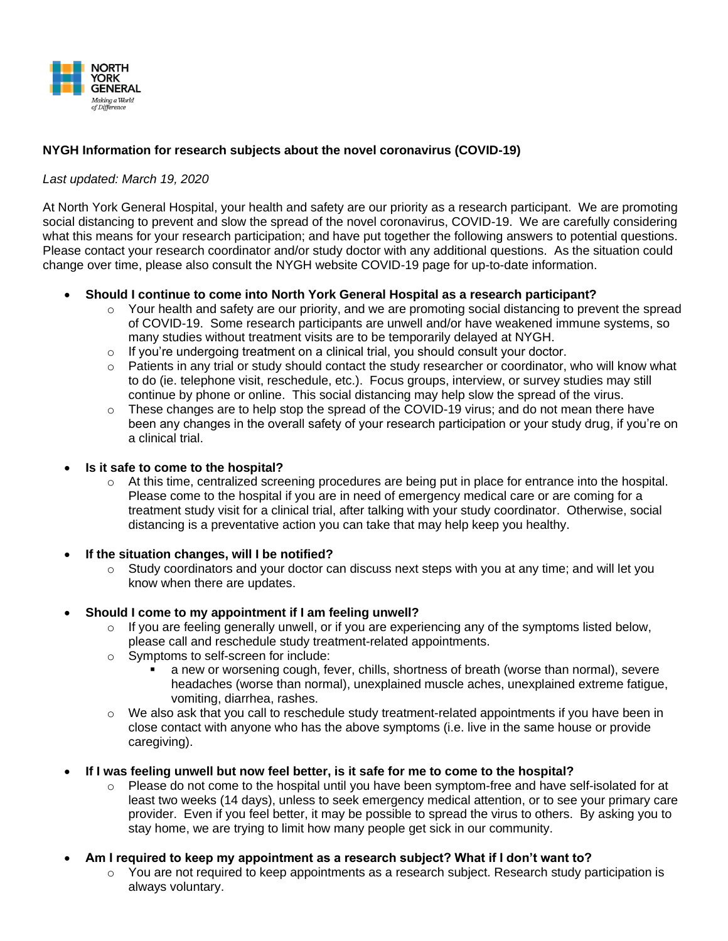

## **NYGH Information for research subjects about the novel coronavirus (COVID-19)**

## *Last updated: March 19, 2020*

At North York General Hospital, your health and safety are our priority as a research participant. We are promoting social distancing to prevent and slow the spread of the novel coronavirus, COVID-19. We are carefully considering what this means for your research participation; and have put together the following answers to potential questions. Please contact your research coordinator and/or study doctor with any additional questions. As the situation could change over time, please also consult the NYGH website COVID-19 page for up-to-date information.

## • **Should I continue to come into North York General Hospital as a research participant?**

- $\circ$  Your health and safety are our priority, and we are promoting social distancing to prevent the spread of COVID-19. Some research participants are unwell and/or have weakened immune systems, so many studies without treatment visits are to be temporarily delayed at NYGH.
- o If you're undergoing treatment on a clinical trial, you should consult your doctor.
- $\circ$  Patients in any trial or study should contact the study researcher or coordinator, who will know what to do (ie. telephone visit, reschedule, etc.). Focus groups, interview, or survey studies may still continue by phone or online. This social distancing may help slow the spread of the virus.
- $\circ$  These changes are to help stop the spread of the COVID-19 virus; and do not mean there have been any changes in the overall safety of your research participation or your study drug, if you're on a clinical trial.
- **Is it safe to come to the hospital?** 
	- $\circ$  At this time, centralized screening procedures are being put in place for entrance into the hospital. Please come to the hospital if you are in need of emergency medical care or are coming for a treatment study visit for a clinical trial, after talking with your study coordinator. Otherwise, social distancing is a preventative action you can take that may help keep you healthy.
- **If the situation changes, will I be notified?**
	- o Study coordinators and your doctor can discuss next steps with you at any time; and will let you know when there are updates.
- **Should I come to my appointment if I am feeling unwell?**
	- $\circ$  If you are feeling generally unwell, or if you are experiencing any of the symptoms listed below, please call and reschedule study treatment-related appointments.
	- o Symptoms to self-screen for include:
		- a new or worsening cough, fever, chills, shortness of breath (worse than normal), severe headaches (worse than normal), unexplained muscle aches, unexplained extreme fatigue, vomiting, diarrhea, rashes.
	- $\circ$  We also ask that you call to reschedule study treatment-related appointments if you have been in close contact with anyone who has the above symptoms (i.e. live in the same house or provide caregiving).
- **If I was feeling unwell but now feel better, is it safe for me to come to the hospital?**
	- o Please do not come to the hospital until you have been symptom-free and have self-isolated for at least two weeks (14 days), unless to seek emergency medical attention, or to see your primary care provider. Even if you feel better, it may be possible to spread the virus to others. By asking you to stay home, we are trying to limit how many people get sick in our community.
- **Am I required to keep my appointment as a research subject? What if I don't want to?**
	- $\circ$  You are not required to keep appointments as a research subject. Research study participation is always voluntary.